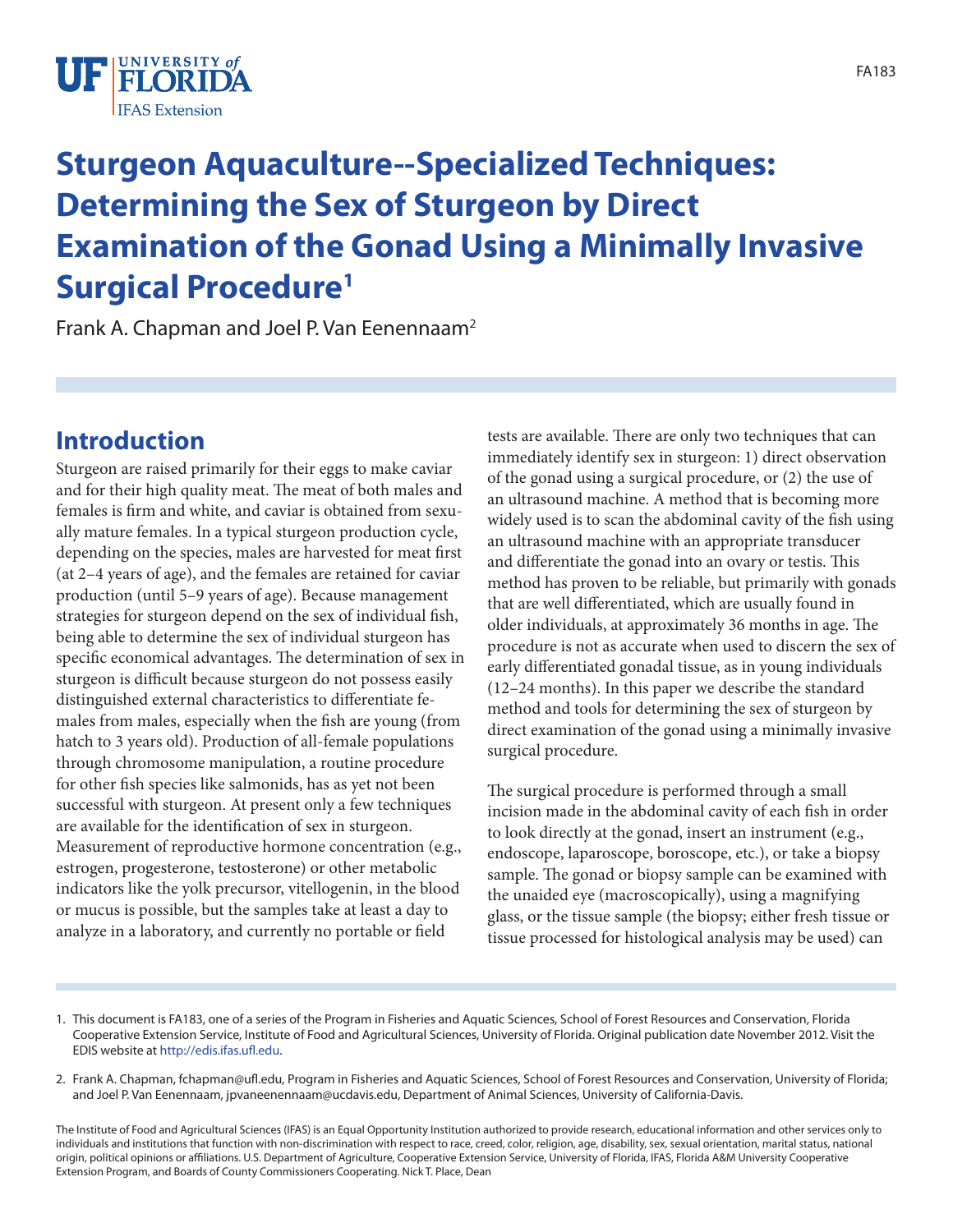

# **Sturgeon Aquaculture--Specialized Techniques: Determining the Sex of Sturgeon by Direct Examination of the Gonad Using a Minimally Invasive Surgical Procedure1**

Frank A. Chapman and Joel P. Van Eenennaam<sup>2</sup>

# **Introduction**

Sturgeon are raised primarily for their eggs to make caviar and for their high quality meat. The meat of both males and females is firm and white, and caviar is obtained from sexually mature females. In a typical sturgeon production cycle, depending on the species, males are harvested for meat first (at 2–4 years of age), and the females are retained for caviar production (until 5–9 years of age). Because management strategies for sturgeon depend on the sex of individual fish, being able to determine the sex of individual sturgeon has specific economical advantages. The determination of sex in sturgeon is difficult because sturgeon do not possess easily distinguished external characteristics to differentiate females from males, especially when the fish are young (from hatch to 3 years old). Production of all-female populations through chromosome manipulation, a routine procedure for other fish species like salmonids, has as yet not been successful with sturgeon. At present only a few techniques are available for the identification of sex in sturgeon. Measurement of reproductive hormone concentration (e.g., estrogen, progesterone, testosterone) or other metabolic indicators like the yolk precursor, vitellogenin, in the blood or mucus is possible, but the samples take at least a day to analyze in a laboratory, and currently no portable or field

tests are available. There are only two techniques that can immediately identify sex in sturgeon: 1) direct observation of the gonad using a surgical procedure, or (2) the use of an ultrasound machine. A method that is becoming more widely used is to scan the abdominal cavity of the fish using an ultrasound machine with an appropriate transducer and differentiate the gonad into an ovary or testis. This method has proven to be reliable, but primarily with gonads that are well differentiated, which are usually found in older individuals, at approximately 36 months in age. The procedure is not as accurate when used to discern the sex of early differentiated gonadal tissue, as in young individuals (12–24 months). In this paper we describe the standard method and tools for determining the sex of sturgeon by direct examination of the gonad using a minimally invasive surgical procedure.

The surgical procedure is performed through a small incision made in the abdominal cavity of each fish in order to look directly at the gonad, insert an instrument (e.g., endoscope, laparoscope, boroscope, etc.), or take a biopsy sample. The gonad or biopsy sample can be examined with the unaided eye (macroscopically), using a magnifying glass, or the tissue sample (the biopsy; either fresh tissue or tissue processed for histological analysis may be used) can

<sup>1.</sup> This document is FA183, one of a series of the Program in Fisheries and Aquatic Sciences, School of Forest Resources and Conservation, Florida Cooperative Extension Service, Institute of Food and Agricultural Sciences, University of Florida. Original publication date November 2012. Visit the EDIS website at [http://edis.ifas.ufl.edu.](http://edis.ifas.ufl.edu)

<sup>2.</sup> Frank A. Chapman, fchapman@ufl.edu, Program in Fisheries and Aquatic Sciences, School of Forest Resources and Conservation, University of Florida; and Joel P. Van Eenennaam, jpvaneenennaam@ucdavis.edu, Department of Animal Sciences, University of California-Davis.

The Institute of Food and Agricultural Sciences (IFAS) is an Equal Opportunity Institution authorized to provide research, educational information and other services only to individuals and institutions that function with non-discrimination with respect to race, creed, color, religion, age, disability, sex, sexual orientation, marital status, national origin, political opinions or affiliations. U.S. Department of Agriculture, Cooperative Extension Service, University of Florida, IFAS, Florida A&M University Cooperative Extension Program, and Boards of County Commissioners Cooperating. Nick T. Place, Dean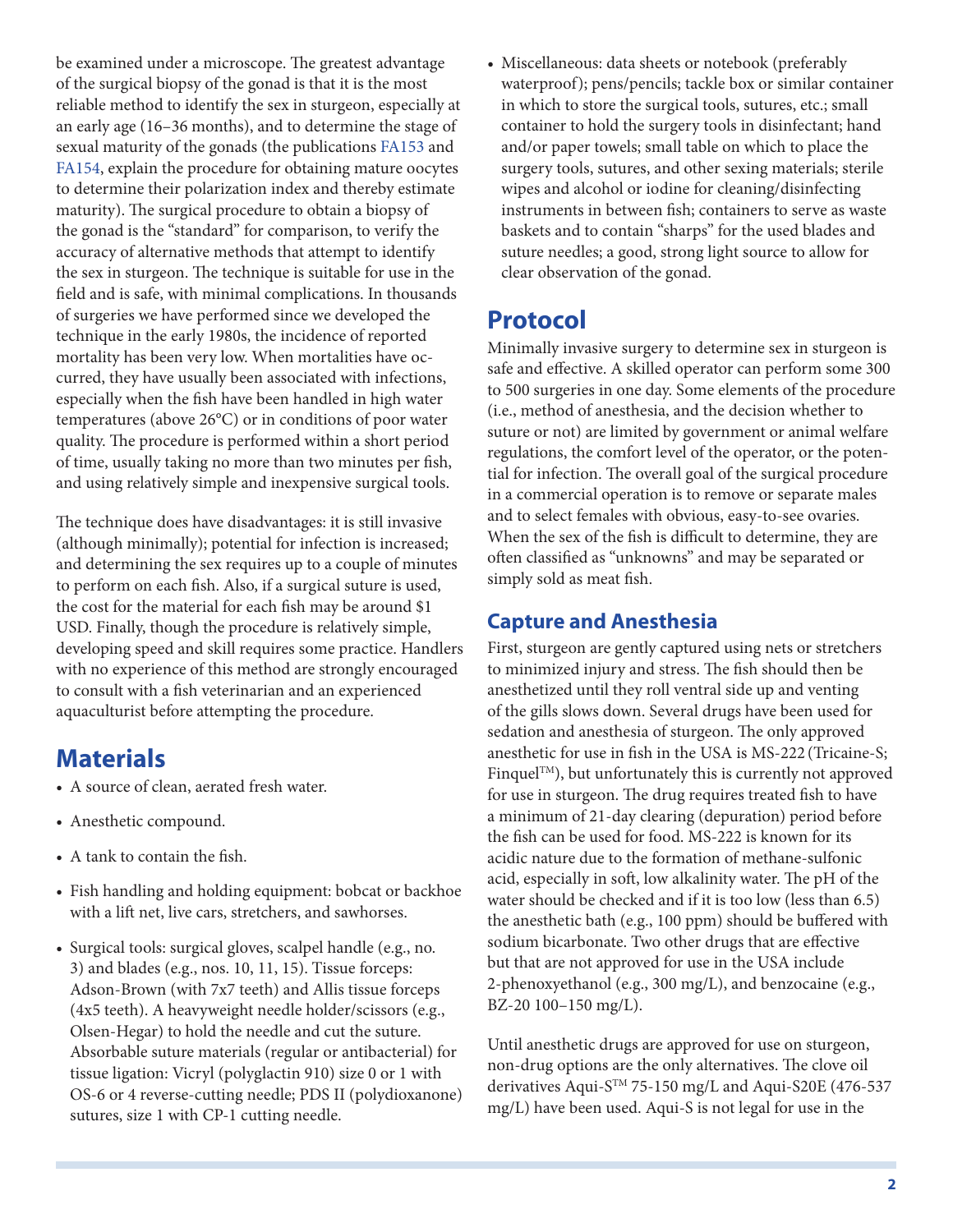be examined under a microscope. The greatest advantage of the surgical biopsy of the gonad is that it is the most reliable method to identify the sex in sturgeon, especially at an early age (16–36 months), and to determine the stage of sexual maturity of the gonads (the publications [FA153](http://edis.ifas.ufl.edu/fa153) and [FA154](http://edis.ifas.ufl.edu/fa154), explain the procedure for obtaining mature oocytes to determine their polarization index and thereby estimate maturity). The surgical procedure to obtain a biopsy of the gonad is the "standard" for comparison, to verify the accuracy of alternative methods that attempt to identify the sex in sturgeon. The technique is suitable for use in the field and is safe, with minimal complications. In thousands of surgeries we have performed since we developed the technique in the early 1980s, the incidence of reported mortality has been very low. When mortalities have occurred, they have usually been associated with infections, especially when the fish have been handled in high water temperatures (above 26°C) or in conditions of poor water quality. The procedure is performed within a short period of time, usually taking no more than two minutes per fish, and using relatively simple and inexpensive surgical tools.

The technique does have disadvantages: it is still invasive (although minimally); potential for infection is increased; and determining the sex requires up to a couple of minutes to perform on each fish. Also, if a surgical suture is used, the cost for the material for each fish may be around \$1 USD. Finally, though the procedure is relatively simple, developing speed and skill requires some practice. Handlers with no experience of this method are strongly encouraged to consult with a fish veterinarian and an experienced aquaculturist before attempting the procedure.

### **Materials**

- A source of clean, aerated fresh water.
- Anesthetic compound.
- A tank to contain the fish.
- • Fish handling and holding equipment: bobcat or backhoe with a lift net, live cars, stretchers, and sawhorses.
- Surgical tools: surgical gloves, scalpel handle (e.g., no. 3) and blades (e.g., nos. 10, 11, 15). Tissue forceps: Adson-Brown (with 7x7 teeth) and Allis tissue forceps (4x5 teeth). A heavyweight needle holder/scissors (e.g., Olsen-Hegar) to hold the needle and cut the suture. Absorbable suture materials (regular or antibacterial) for tissue ligation: Vicryl (polyglactin 910) size 0 or 1 with OS-6 or 4 reverse-cutting needle; PDS II (polydioxanone) sutures, size 1 with CP-1 cutting needle.

• Miscellaneous: data sheets or notebook (preferably waterproof); pens/pencils; tackle box or similar container in which to store the surgical tools, sutures, etc.; small container to hold the surgery tools in disinfectant; hand and/or paper towels; small table on which to place the surgery tools, sutures, and other sexing materials; sterile wipes and alcohol or iodine for cleaning/disinfecting instruments in between fish; containers to serve as waste baskets and to contain "sharps" for the used blades and suture needles; a good, strong light source to allow for clear observation of the gonad.

## **Protocol**

Minimally invasive surgery to determine sex in sturgeon is safe and effective. A skilled operator can perform some 300 to 500 surgeries in one day. Some elements of the procedure (i.e., method of anesthesia, and the decision whether to suture or not) are limited by government or animal welfare regulations, the comfort level of the operator, or the potential for infection. The overall goal of the surgical procedure in a commercial operation is to remove or separate males and to select females with obvious, easy-to-see ovaries. When the sex of the fish is difficult to determine, they are often classified as "unknowns" and may be separated or simply sold as meat fish.

#### **Capture and Anesthesia**

First, sturgeon are gently captured using nets or stretchers to minimized injury and stress. The fish should then be anesthetized until they roll ventral side up and venting of the gills slows down. Several drugs have been used for sedation and anesthesia of sturgeon. The only approved anesthetic for use in fish in the USA is MS-222 (Tricaine-S; Finquel<sup>TM</sup>), but unfortunately this is currently not approved for use in sturgeon. The drug requires treated fish to have a minimum of 21-day clearing (depuration) period before the fish can be used for food. MS-222 is known for its acidic nature due to the formation of methane-sulfonic acid, especially in soft, low alkalinity water. The pH of the water should be checked and if it is too low (less than 6.5) the anesthetic bath (e.g., 100 ppm) should be buffered with sodium bicarbonate. Two other drugs that are effective but that are not approved for use in the USA include 2-phenoxyethanol (e.g., 300 mg/L), and benzocaine (e.g., BZ-20 100–150 mg/L).

Until anesthetic drugs are approved for use on sturgeon, non-drug options are the only alternatives. The clove oil derivatives Aqui-STM 75-150 mg/L and Aqui-S20E (476-537 mg/L) have been used. Aqui-S is not legal for use in the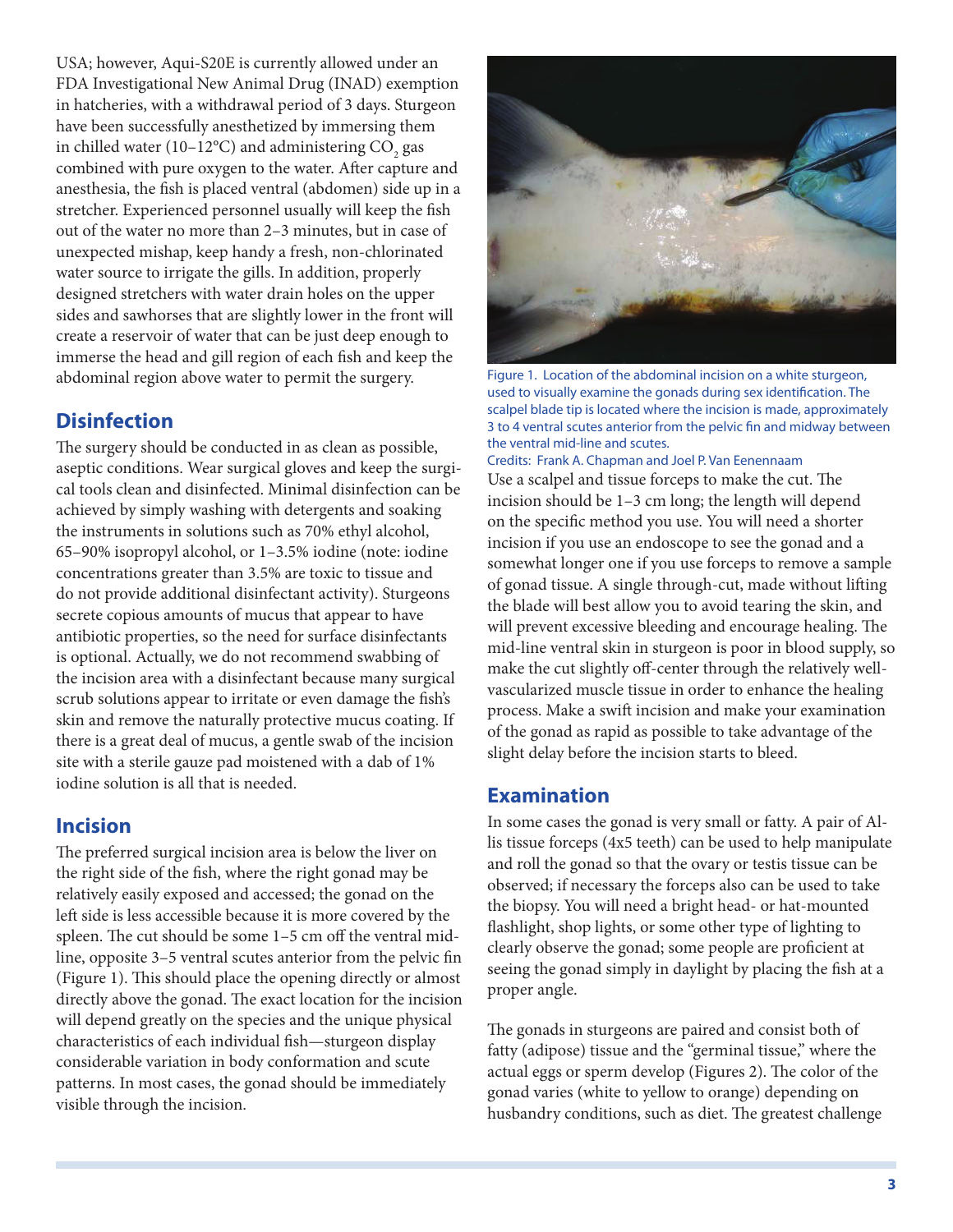USA; however, Aqui-S20E is currently allowed under an FDA Investigational New Animal Drug (INAD) exemption in hatcheries, with a withdrawal period of 3 days. Sturgeon have been successfully anesthetized by immersing them in chilled water (10–12°C) and administering  $\mathrm{CO}_\mathrm{2} \, \mathrm{gas}$ combined with pure oxygen to the water. After capture and anesthesia, the fish is placed ventral (abdomen) side up in a stretcher. Experienced personnel usually will keep the fish out of the water no more than 2–3 minutes, but in case of unexpected mishap, keep handy a fresh, non-chlorinated water source to irrigate the gills. In addition, properly designed stretchers with water drain holes on the upper sides and sawhorses that are slightly lower in the front will create a reservoir of water that can be just deep enough to immerse the head and gill region of each fish and keep the abdominal region above water to permit the surgery.

#### **Disinfection**

The surgery should be conducted in as clean as possible, aseptic conditions. Wear surgical gloves and keep the surgical tools clean and disinfected. Minimal disinfection can be achieved by simply washing with detergents and soaking the instruments in solutions such as 70% ethyl alcohol, 65–90% isopropyl alcohol, or 1–3.5% iodine (note: iodine concentrations greater than 3.5% are toxic to tissue and do not provide additional disinfectant activity). Sturgeons secrete copious amounts of mucus that appear to have antibiotic properties, so the need for surface disinfectants is optional. Actually, we do not recommend swabbing of the incision area with a disinfectant because many surgical scrub solutions appear to irritate or even damage the fish's skin and remove the naturally protective mucus coating. If there is a great deal of mucus, a gentle swab of the incision site with a sterile gauze pad moistened with a dab of 1% iodine solution is all that is needed.

#### **Incision**

The preferred surgical incision area is below the liver on the right side of the fish, where the right gonad may be relatively easily exposed and accessed; the gonad on the left side is less accessible because it is more covered by the spleen. The cut should be some 1–5 cm off the ventral midline, opposite 3–5 ventral scutes anterior from the pelvic fin (Figure 1). This should place the opening directly or almost directly above the gonad. The exact location for the incision will depend greatly on the species and the unique physical characteristics of each individual fish—sturgeon display considerable variation in body conformation and scute patterns. In most cases, the gonad should be immediately visible through the incision.



Figure 1. Location of the abdominal incision on a white sturgeon, used to visually examine the gonads during sex identification. The scalpel blade tip is located where the incision is made, approximately 3 to 4 ventral scutes anterior from the pelvic fin and midway between the ventral mid-line and scutes.

Use a scalpel and tissue forceps to make the cut. The incision should be 1–3 cm long; the length will depend on the specific method you use. You will need a shorter Credits: Frank A. Chapman and Joel P. Van Eenennaam

incision if you use an endoscope to see the gonad and a somewhat longer one if you use forceps to remove a sample of gonad tissue. A single through-cut, made without lifting the blade will best allow you to avoid tearing the skin, and will prevent excessive bleeding and encourage healing. The mid-line ventral skin in sturgeon is poor in blood supply, so make the cut slightly off-center through the relatively wellvascularized muscle tissue in order to enhance the healing process. Make a swift incision and make your examination of the gonad as rapid as possible to take advantage of the slight delay before the incision starts to bleed.

#### **Examination**

In some cases the gonad is very small or fatty. A pair of Allis tissue forceps (4x5 teeth) can be used to help manipulate and roll the gonad so that the ovary or testis tissue can be observed; if necessary the forceps also can be used to take the biopsy. You will need a bright head- or hat-mounted flashlight, shop lights, or some other type of lighting to clearly observe the gonad; some people are proficient at seeing the gonad simply in daylight by placing the fish at a proper angle.

The gonads in sturgeons are paired and consist both of fatty (adipose) tissue and the "germinal tissue," where the actual eggs or sperm develop (Figures 2). The color of the gonad varies (white to yellow to orange) depending on husbandry conditions, such as diet. The greatest challenge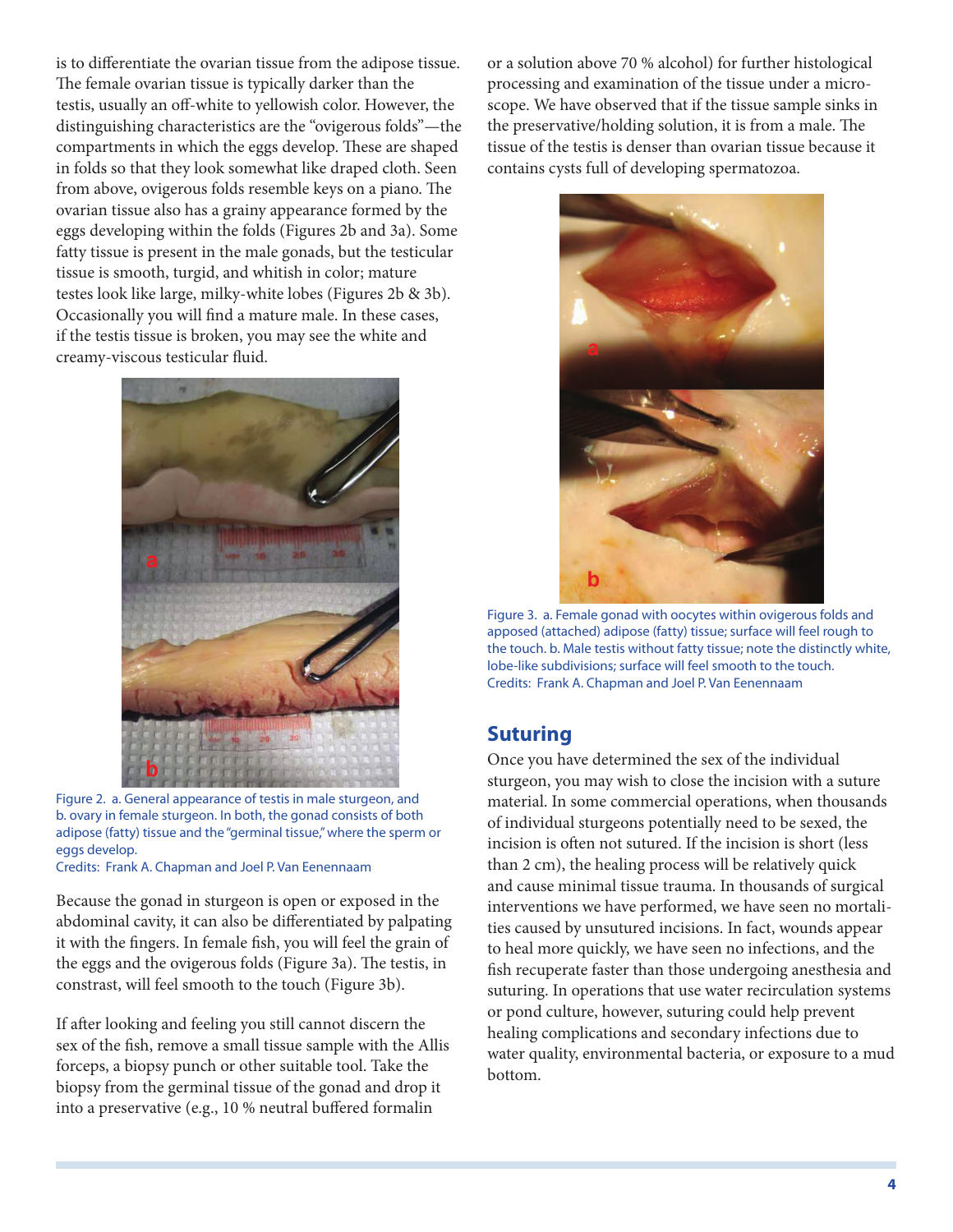is to differentiate the ovarian tissue from the adipose tissue. The female ovarian tissue is typically darker than the testis, usually an off-white to yellowish color. However, the distinguishing characteristics are the "ovigerous folds"—the compartments in which the eggs develop. These are shaped in folds so that they look somewhat like draped cloth. Seen from above, ovigerous folds resemble keys on a piano. The ovarian tissue also has a grainy appearance formed by the eggs developing within the folds (Figures 2b and 3a). Some fatty tissue is present in the male gonads, but the testicular tissue is smooth, turgid, and whitish in color; mature testes look like large, milky-white lobes (Figures 2b & 3b). Occasionally you will find a mature male. In these cases, if the testis tissue is broken, you may see the white and creamy-viscous testicular fluid.



Figure 2. a. General appearance of testis in male sturgeon, and b. ovary in female sturgeon. In both, the gonad consists of both adipose (fatty) tissue and the "germinal tissue," where the sperm or eggs develop.

Credits: Frank A. Chapman and Joel P. Van Eenennaam

Because the gonad in sturgeon is open or exposed in the abdominal cavity, it can also be differentiated by palpating it with the fingers. In female fish, you will feel the grain of the eggs and the ovigerous folds (Figure 3a). The testis, in constrast, will feel smooth to the touch (Figure 3b).

If after looking and feeling you still cannot discern the sex of the fish, remove a small tissue sample with the Allis forceps, a biopsy punch or other suitable tool. Take the biopsy from the germinal tissue of the gonad and drop it into a preservative (e.g., 10 % neutral buffered formalin

or a solution above 70 % alcohol) for further histological processing and examination of the tissue under a microscope. We have observed that if the tissue sample sinks in the preservative/holding solution, it is from a male. The tissue of the testis is denser than ovarian tissue because it contains cysts full of developing spermatozoa.



Figure 3. a. Female gonad with oocytes within ovigerous folds and apposed (attached) adipose (fatty) tissue; surface will feel rough to the touch. b. Male testis without fatty tissue; note the distinctly white, lobe-like subdivisions; surface will feel smooth to the touch. Credits: Frank A. Chapman and Joel P. Van Eenennaam

#### **Suturing**

Once you have determined the sex of the individual sturgeon, you may wish to close the incision with a suture material. In some commercial operations, when thousands of individual sturgeons potentially need to be sexed, the incision is often not sutured. If the incision is short (less than 2 cm), the healing process will be relatively quick and cause minimal tissue trauma. In thousands of surgical interventions we have performed, we have seen no mortalities caused by unsutured incisions. In fact, wounds appear to heal more quickly, we have seen no infections, and the fish recuperate faster than those undergoing anesthesia and suturing. In operations that use water recirculation systems or pond culture, however, suturing could help prevent healing complications and secondary infections due to water quality, environmental bacteria, or exposure to a mud bottom.